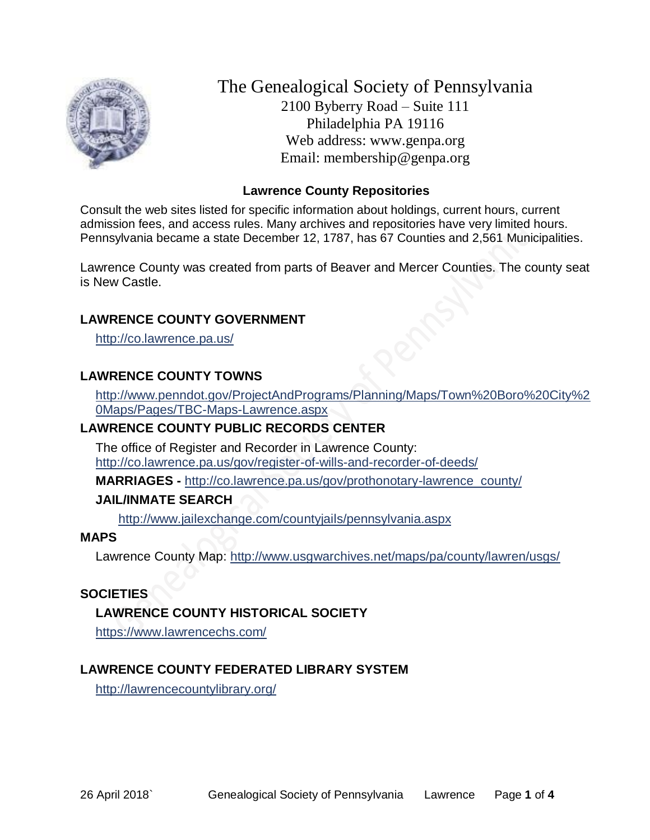

The Genealogical Society of Pennsylvania 2100 Byberry Road – Suite 111 Philadelphia PA 19116 Web address: www.genpa.org Email: membership@genpa.org

### **Lawrence County Repositories**

Consult the web sites listed for specific information about holdings, current hours, current admission fees, and access rules. Many archives and repositories have very limited hours. Pennsylvania became a state December 12, 1787, has 67 Counties and 2,561 Municipalities.

Lawrence County was created from parts of Beaver and Mercer Counties. The county seat is New Castle.

#### **LAWRENCE COUNTY GOVERNMENT**

<http://co.lawrence.pa.us/>

#### **LAWRENCE COUNTY TOWNS**

[http://www.penndot.gov/ProjectAndPrograms/Planning/Maps/Town%20Boro%20City%2](http://www.penndot.gov/ProjectAndPrograms/Planning/Maps/Town%20Boro%20City%20Maps/Pages/TBC-Maps-Lawrence.aspx) [0Maps/Pages/TBC-Maps-Lawrence.aspx](http://www.penndot.gov/ProjectAndPrograms/Planning/Maps/Town%20Boro%20City%20Maps/Pages/TBC-Maps-Lawrence.aspx)

#### **LAWRENCE COUNTY PUBLIC RECORDS CENTER**

The office of Register and Recorder in Lawrence County: <http://co.lawrence.pa.us/gov/register-of-wills-and-recorder-of-deeds/>

**MARRIAGES -** [http://co.lawrence.pa.us/gov/prothonotary-lawrence\\_county/](http://co.lawrence.pa.us/gov/prothonotary-lawrence_county/)

#### **JAIL/INMATE SEARCH**

<http://www.jailexchange.com/countyjails/pennsylvania.aspx>

#### **MAPS**

Lawrence County Map:<http://www.usgwarchives.net/maps/pa/county/lawren/usgs/>

#### **SOCIETIES**

## **LAWRENCE COUNTY HISTORICAL SOCIETY**

<https://www.lawrencechs.com/>

## **LAWRENCE COUNTY FEDERATED LIBRARY SYSTEM**

<http://lawrencecountylibrary.org/>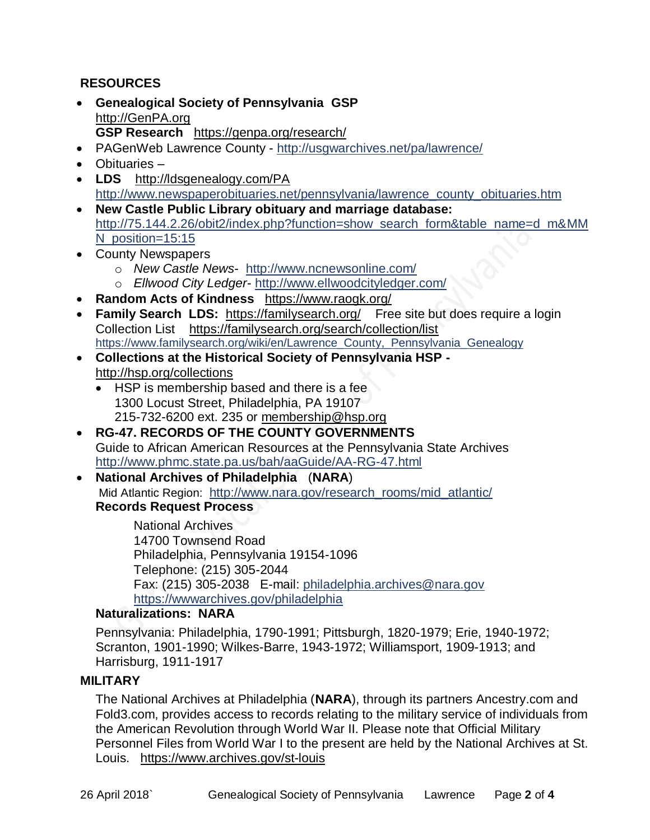# **RESOURCES**

- **Genealogical Society of Pennsylvania GSP** [http://GenPA.org](http://genpa.org/) **GSP Research** <https://genpa.org/research/>
- PAGenWeb Lawrence County <http://usgwarchives.net/pa/lawrence/>
- Obituaries –
- **LDS** <http://ldsgenealogy.com/PA> [http://www.newspaperobituaries.net/pennsylvania/lawrence\\_county\\_obituaries.htm](http://www.newspaperobituaries.net/pennsylvania/lawrence_county_obituaries.htm)
- **New Castle Public Library obituary and marriage database:**  [http://75.144.2.26/obit2/index.php?function=show\\_search\\_form&table\\_name=d\\_m&MM](http://75.144.2.26/obit2/index.php?function=show_search_form&table_name=d_m&MMN_position=15:15) [N\\_position=15:15](http://75.144.2.26/obit2/index.php?function=show_search_form&table_name=d_m&MMN_position=15:15)
- County Newspapers
	- o *New Castle News* <http://www.ncnewsonline.com/> o *Ellwood City Ledger*- <http://www.ellwoodcityledger.com/>
- **Random Acts of Kindness** <https://www.raogk.org/>
- **Family Search LDS:** <https://familysearch.org/>Free site but does require a login Collection List <https://familysearch.org/search/collection/list> [https://www.familysearch.org/wiki/en/Lawrence\\_County,\\_Pennsylvania\\_Genealogy](https://www.familysearch.org/wiki/en/Lawrence_County,_Pennsylvania_Genealogy)
- **Collections at the Historical Society of Pennsylvania HSP**  <http://hsp.org/collections>
	- HSP is membership based and there is a fee 1300 Locust Street, Philadelphia, PA 19107 215-732-6200 ext. 235 or [membership@hsp.org](mailto:membership@hsp.org)
- **RG-47. RECORDS OF THE COUNTY GOVERNMENTS** Guide to African American Resources at the Pennsylvania State Archives <http://www.phmc.state.pa.us/bah/aaGuide/AA-RG-47.html>
- **National Archives of Philadelphia** (**NARA**) Mid Atlantic Region: [http://www.nara.gov/research\\_rooms/mid\\_atlantic/](http://www.nara.gov/research_rooms/mid_atlantic/) **Records Request Process**

National Archives 14700 Townsend Road Philadelphia, Pennsylvania 19154-1096 Telephone: (215) 305-2044 Fax: (215) 305-2038 E-mail: [philadelphia.archives@nara.gov](mailto:philadelphia.archives@nara.gov) <https://wwwarchives.gov/philadelphia>

## **Naturalizations: NARA**

Pennsylvania: Philadelphia, 1790-1991; Pittsburgh, 1820-1979; Erie, 1940-1972; Scranton, 1901-1990; Wilkes-Barre, 1943-1972; Williamsport, 1909-1913; and Harrisburg, 1911-1917

#### **MILITARY**

The National Archives at Philadelphia (**NARA**), through its partners Ancestry.com and Fold3.com, provides access to records relating to the military service of individuals from the American Revolution through World War II. Please note that Official Military Personnel Files from World War I to the present are held by the National Archives at St. Louis. <https://www.archives.gov/st-louis>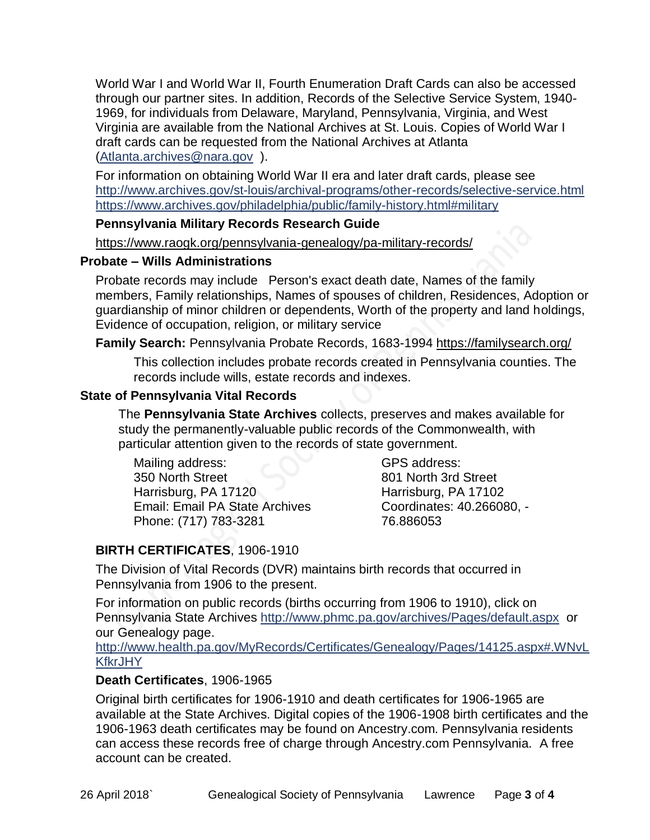World War I and World War II, Fourth Enumeration Draft Cards can also be accessed through our partner sites. In addition, Records of the Selective Service System, 1940- 1969, for individuals from Delaware, Maryland, Pennsylvania, Virginia, and West Virginia are available from the National Archives at St. Louis. Copies of World War I draft cards can be requested from the National Archives at Atlanta [\(Atlanta.archives@nara.gov](mailto:Atlanta.archives@nara.gov) ).

For information on obtaining World War II era and later draft cards, please see <http://www.archives.gov/st-louis/archival-programs/other-records/selective-service.html> <https://www.archives.gov/philadelphia/public/family-history.html#military>

#### **Pennsylvania Military Records Research Guide**

<https://www.raogk.org/pennsylvania-genealogy/pa-military-records/>

#### **Probate – Wills Administrations**

Probate records may include Person's exact death date, Names of the family members, Family relationships, Names of spouses of children, Residences, Adoption or guardianship of minor children or dependents, Worth of the property and land holdings, Evidence of occupation, religion, or military service

## **Family Search:** Pennsylvania Probate Records, 1683-1994 <https://familysearch.org/>

This collection includes probate records created in Pennsylvania counties. The records include wills, estate records and indexes.

## **State of Pennsylvania Vital Records**

The **Pennsylvania State Archives** collects, preserves and makes available for study the permanently-valuable public records of the Commonwealth, with particular attention given to the records of state government.

Mailing address: 350 North Street Harrisburg, PA 17120 Email: Email PA State Archives Phone: (717) 783-3281

GPS address: 801 North 3rd Street Harrisburg, PA 17102 Coordinates: 40.266080, - 76.886053

# **BIRTH CERTIFICATES**, 1906-1910

The Division of Vital Records (DVR) maintains birth records that occurred in Pennsylvania from 1906 to the present.

For information on public records (births occurring from 1906 to 1910), click on Pennsylvania State Archives <http://www.phmc.pa.gov/archives/Pages/default.aspx>or our Genealogy page.

[http://www.health.pa.gov/MyRecords/Certificates/Genealogy/Pages/14125.aspx#.WNvL](http://www.health.pa.gov/MyRecords/Certificates/Genealogy/Pages/14125.aspx#.WNvLKfkrJHY) **[KfkrJHY](http://www.health.pa.gov/MyRecords/Certificates/Genealogy/Pages/14125.aspx#.WNvLKfkrJHY)** 

## **Death Certificates**, 1906-1965

Original birth certificates for 1906-1910 and death certificates for 1906-1965 are available at the State Archives. Digital copies of the 1906-1908 birth certificates and the 1906-1963 death certificates may be found on Ancestry.com. Pennsylvania residents can access these records free of charge through Ancestry.com Pennsylvania. A free account can be created.